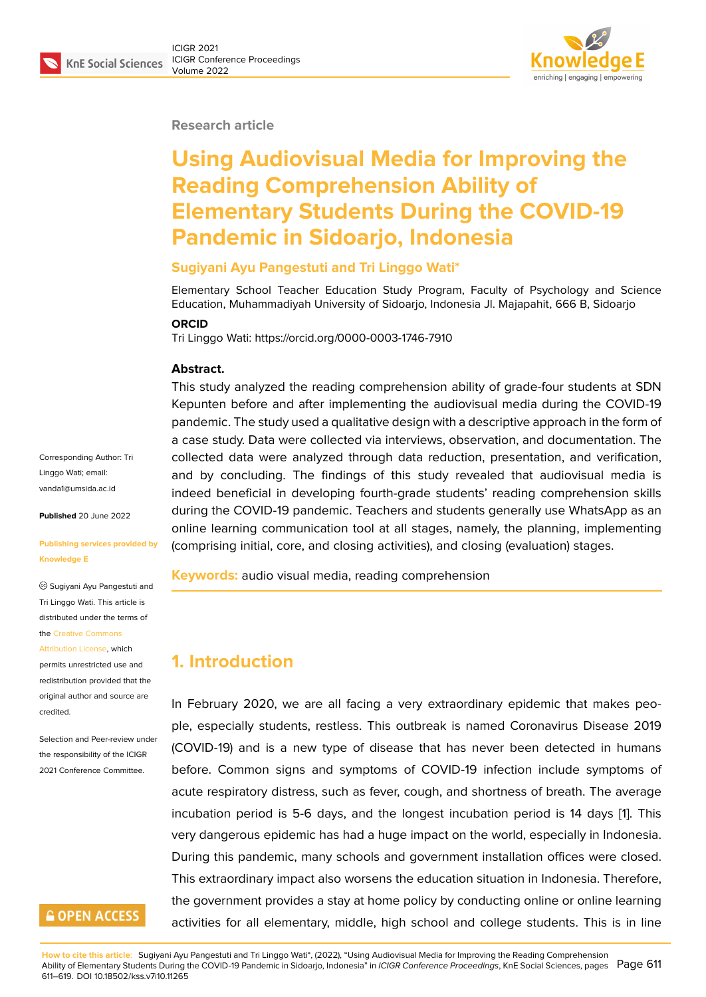#### **Research article**

# **Using Audiovisual Media for Improving the Reading Comprehension Ability of Elementary Students During the COVID-19 Pandemic in Sidoarjo, Indonesia**

#### **Sugiyani Ayu Pangestuti and Tri Linggo Wati\***

Elementary School Teacher Education Study Program, Faculty of Psychology and Science Education, Muhammadiyah University of Sidoarjo, Indonesia Jl. Majapahit, 666 B, Sidoarjo

#### **ORCID**

Tri Linggo Wati: https://orcid.org/0000-0003-1746-7910

#### **Abstract.**

This study analyzed the reading comprehension ability of grade-four students at SDN Kepunten before and after implementing the audiovisual media during the COVID-19 pandemic. The study used a qualitative design with a descriptive approach in the form of a case study. Data were collected via interviews, observation, and documentation. The collected data were analyzed through data reduction, presentation, and verification, and by concluding. The findings of this study revealed that audiovisual media is indeed beneficial in developing fourth-grade students' reading comprehension skills during the COVID-19 pandemic. Teachers and students generally use WhatsApp as an online learning communication tool at all stages, namely, the planning, implementing (comprising initial, core, and closing activities), and closing (evaluation) stages.

**Keywords:** audio visual media, reading comprehension

# **1. Introduction**

In February 2020, we are all facing a very extraordinary epidemic that makes people, especially students, restless. This outbreak is named Coronavirus Disease 2019 (COVID-19) and is a new type of disease that has never been detected in humans before. Common signs and symptoms of COVID-19 infection include symptoms of acute respiratory distress, such as fever, cough, and shortness of breath. The average incubation period is 5-6 days, and the longest incubation period is 14 days [1]. This very dangerous epidemic has had a huge impact on the world, especially in Indonesia. During this pandemic, many schools and government installation offices were closed. This extraordinary impact also worsens the education situation in Indonesia. Th[er](#page-8-0)efore, the government provides a stay at home policy by conducting online or online learning activities for all elementary, middle, high school and college students. This is in line

Corresponding Author: Tri Linggo Wati; email: vanda1@umsida.ac.id

**Published** 20 June 2022

#### **[Publishing services p](mailto:vanda1@umsida.ac.id)rovided by Knowledge E**

Sugiyani Ayu Pangestuti and Tri Linggo Wati. This article is distributed under the terms of the Creative Commons

Attribution License, which

permits unrestricted use and redistribution provided that the orig[inal author and sou](https://creativecommons.org/licenses/by/4.0/)rce are [credited.](https://creativecommons.org/licenses/by/4.0/)

Selection and Peer-review under the responsibility of the ICIGR 2021 Conference Committee.

# **GOPEN ACCESS**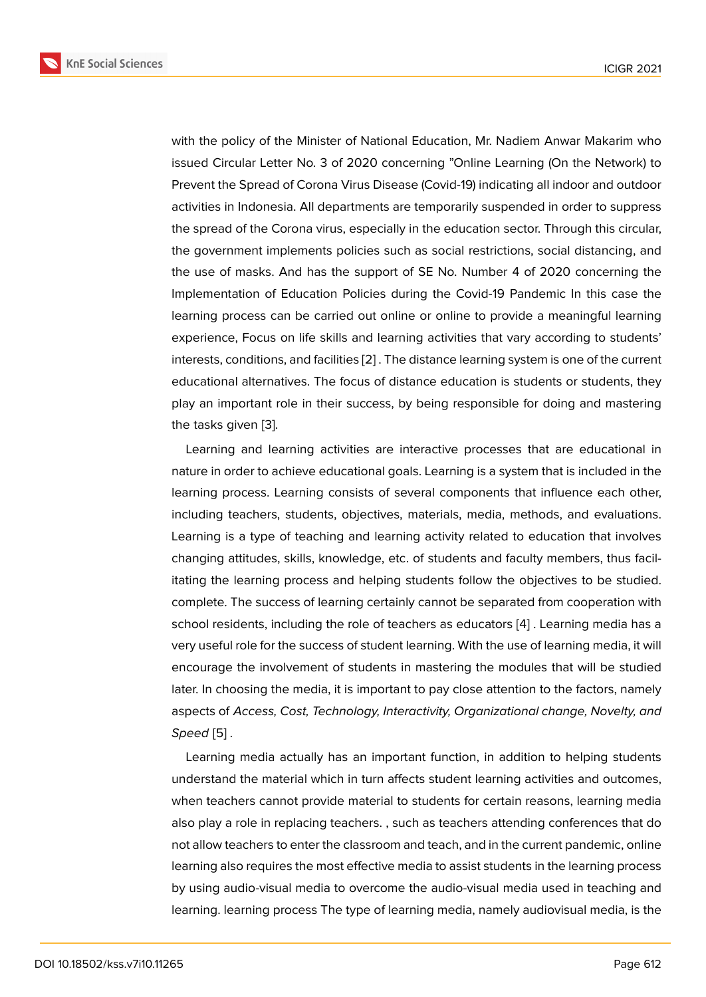with the policy of the Minister of National Education, Mr. Nadiem Anwar Makarim who issued Circular Letter No. 3 of 2020 concerning "Online Learning (On the Network) to Prevent the Spread of Corona Virus Disease (Covid-19) indicating all indoor and outdoor activities in Indonesia. All departments are temporarily suspended in order to suppress the spread of the Corona virus, especially in the education sector. Through this circular, the government implements policies such as social restrictions, social distancing, and the use of masks. And has the support of SE No. Number 4 of 2020 concerning the Implementation of Education Policies during the Covid-19 Pandemic In this case the learning process can be carried out online or online to provide a meaningful learning experience, Focus on life skills and learning activities that vary according to students' interests, conditions, and facilities [2] . The distance learning system is one of the current educational alternatives. The focus of distance education is students or students, they play an important role in their success, by being responsible for doing and mastering the tasks given [3].

Learning and learning activities are interactive processes that are educational in nature in order to achieve educational goals. Learning is a system that is included in the learning proces[s.](#page-8-1) Learning consists of several components that influence each other, including teachers, students, objectives, materials, media, methods, and evaluations. Learning is a type of teaching and learning activity related to education that involves changing attitudes, skills, knowledge, etc. of students and faculty members, thus facilitating the learning process and helping students follow the objectives to be studied. complete. The success of learning certainly cannot be separated from cooperation with school residents, including the role of teachers as educators [4] . Learning media has a very useful role for the success of student learning. With the use of learning media, it will encourage the involvement of students in mastering the modules that will be studied later. In choosing the media, it is important to pay close attent[io](#page-8-2)n to the factors, namely aspects of *Access, Cost, Technology, Interactivity, Organizational change, Novelty, and Speed* [5] *.*

Learning media actually has an important function, in addition to helping students understand the material which in turn affects student learning activities and outcomes, when t[ea](#page-8-3)chers cannot provide material to students for certain reasons, learning media also play a role in replacing teachers. , such as teachers attending conferences that do not allow teachers to enter the classroom and teach, and in the current pandemic, online learning also requires the most effective media to assist students in the learning process by using audio-visual media to overcome the audio-visual media used in teaching and learning. learning process The type of learning media, namely audiovisual media, is the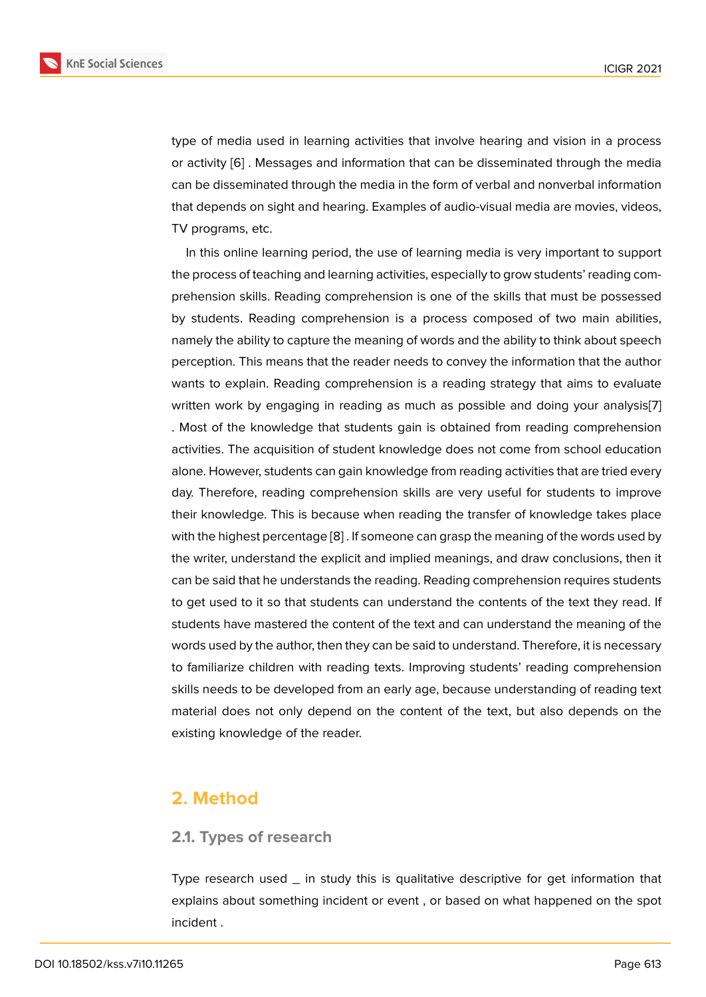type of media used in learning activities that involve hearing and vision in a process or activity [6] . Messages and information that can be disseminated through the media can be disseminated through the media in the form of verbal and nonverbal information that depends on sight and hearing. Examples of audio-visual media are movies, videos, TV progra[ms](#page-8-4), etc.

In this online learning period, the use of learning media is very important to support the process of teaching and learning activities, especially to grow students' reading comprehension skills. Reading comprehension is one of the skills that must be possessed by students. Reading comprehension is a process composed of two main abilities, namely the ability to capture the meaning of words and the ability to think about speech perception. This means that the reader needs to convey the information that the author wants to explain. Reading comprehension is a reading strategy that aims to evaluate written work by engaging in reading as much as possible and doing your analysis[7] . Most of the knowledge that students gain is obtained from reading comprehension activities. The acquisition of student knowledge does not come from school education alone. However, students can gain knowledge from reading activities that are tried eve[ry](#page-8-5) day. Therefore, reading comprehension skills are very useful for students to improve their knowledge. This is because when reading the transfer of knowledge takes place with the highest percentage [8] . If someone can grasp the meaning of the words used by the writer, understand the explicit and implied meanings, and draw conclusions, then it can be said that he understands the reading. Reading comprehension requires students to get used to it so that stu[de](#page-8-6)nts can understand the contents of the text they read. If students have mastered the content of the text and can understand the meaning of the words used by the author, then they can be said to understand. Therefore, it is necessary to familiarize children with reading texts. Improving students' reading comprehension skills needs to be developed from an early age, because understanding of reading text material does not only depend on the content of the text, but also depends on the existing knowledge of the reader.

### **2. Method**

### **2.1. Types of research**

Type research used  $\_$  in study this is qualitative descriptive for get information that explains about something incident or event , or based on what happened on the spot incident .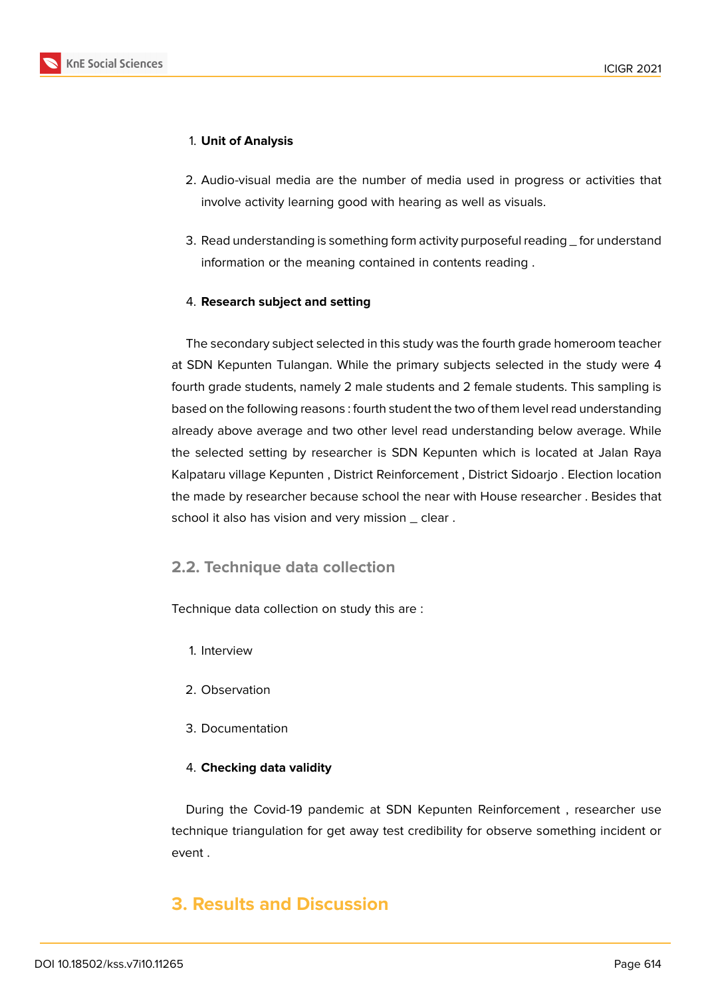

### 1. **Unit of Analysis**

- 2. Audio-visual media are the number of media used in progress or activities that involve activity learning good with hearing as well as visuals.
- 3. Read understanding is something form activity purposeful reading \_ for understand information or the meaning contained in contents reading .

### 4. **Research subject and setting**

The secondary subject selected in this study was the fourth grade homeroom teacher at SDN Kepunten Tulangan. While the primary subjects selected in the study were 4 fourth grade students, namely 2 male students and 2 female students. This sampling is based on the following reasons : fourth student the two of them level read understanding already above average and two other level read understanding below average. While the selected setting by researcher is SDN Kepunten which is located at Jalan Raya Kalpataru village Kepunten , District Reinforcement , District Sidoarjo . Election location the made by researcher because school the near with House researcher . Besides that school it also has vision and very mission \_ clear.

### **2.2. Technique data collection**

Technique data collection on study this are :

- 1. Interview
- 2. Observation
- 3. Documentation

### 4. **Checking data validity**

During the Covid-19 pandemic at SDN Kepunten Reinforcement , researcher use technique triangulation for get away test credibility for observe something incident or event .

# **3. Results and Discussion**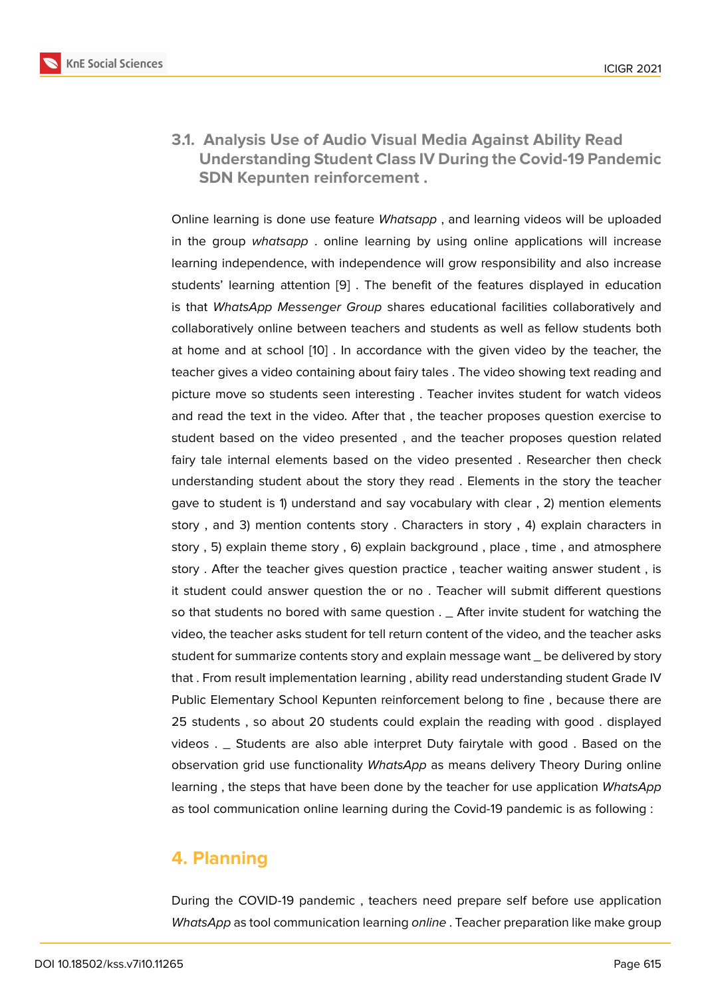**3.1. Analysis Use of Audio Visual Media Against Ability Read Understanding Student Class IV During the Covid-19 Pandemic SDN Kepunten reinforcement .**

Online learning is done use feature *Whatsapp* , and learning videos will be uploaded in the group *whatsapp* . online learning by using online applications will increase learning independence, with independence will grow responsibility and also increase students' learning attention [9] . The benefit of the features displayed in education is that *WhatsApp Messenger Group* shares educational facilities collaboratively and collaboratively online between teachers and students as well as fellow students both at home and at school [10] . [In](#page-8-7) accordance with the given video by the teacher, the teacher gives a video containing about fairy tales . The video showing text reading and picture move so students seen interesting . Teacher invites student for watch videos and read the text in the [vid](#page-8-8)eo. After that , the teacher proposes question exercise to student based on the video presented , and the teacher proposes question related fairy tale internal elements based on the video presented . Researcher then check understanding student about the story they read . Elements in the story the teacher gave to student is 1) understand and say vocabulary with clear , 2) mention elements story , and 3) mention contents story . Characters in story , 4) explain characters in story , 5) explain theme story , 6) explain background , place , time , and atmosphere story . After the teacher gives question practice , teacher waiting answer student , is it student could answer question the or no . Teacher will submit different questions so that students no bored with same question . \_ After invite student for watching the video, the teacher asks student for tell return content of the video, and the teacher asks student for summarize contents story and explain message want \_ be delivered by story that . From result implementation learning , ability read understanding student Grade IV Public Elementary School Kepunten reinforcement belong to fine , because there are 25 students , so about 20 students could explain the reading with good . displayed videos . \_ Students are also able interpret Duty fairytale with good . Based on the observation grid use functionality *WhatsApp* as means delivery Theory During online learning , the steps that have been done by the teacher for use application *WhatsApp* as tool communication online learning during the Covid-19 pandemic is as following :

# **4. Planning**

During the COVID-19 pandemic , teachers need prepare self before use application *WhatsApp* as tool communication learning *online* . Teacher preparation like make group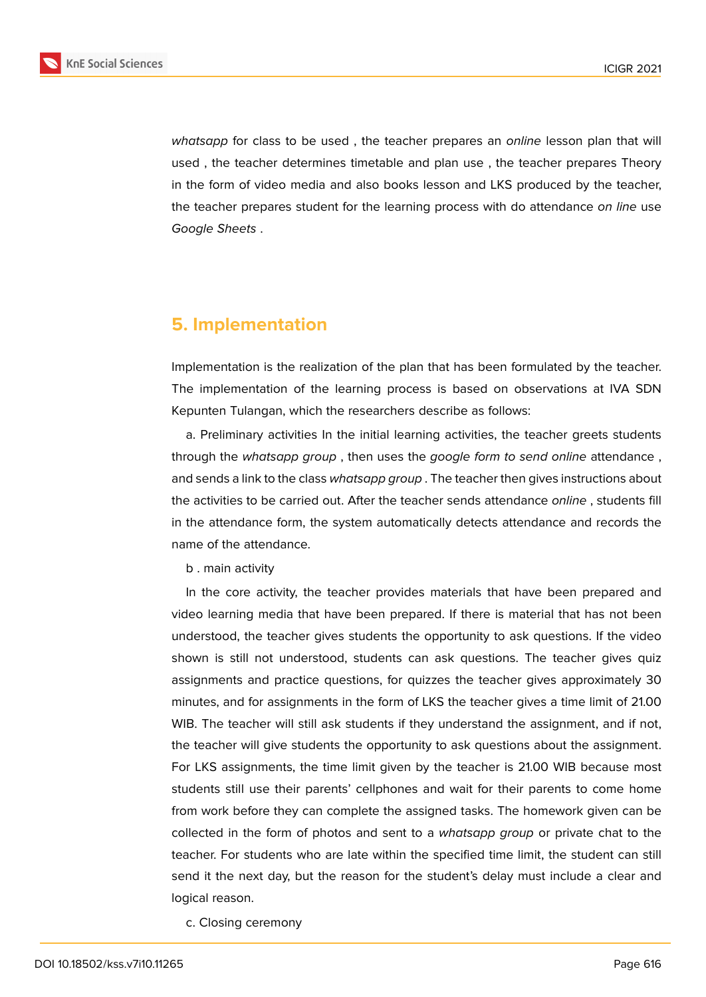

*whatsapp* for class to be used , the teacher prepares an *online* lesson plan that will used , the teacher determines timetable and plan use , the teacher prepares Theory in the form of video media and also books lesson and LKS produced by the teacher, the teacher prepares student for the learning process with do attendance *on line* use *Google Sheets* .

### **5. Implementation**

Implementation is the realization of the plan that has been formulated by the teacher. The implementation of the learning process is based on observations at IVA SDN Kepunten Tulangan, which the researchers describe as follows:

a. Preliminary activities In the initial learning activities, the teacher greets students through the *whatsapp group* , then uses the *google form to send online* attendance , and sends a link to the class *whatsapp group* . The teacher then gives instructions about the activities to be carried out. After the teacher sends attendance *online* , students fill in the attendance form, the system automatically detects attendance and records the name of the attendance.

b . main activity

In the core activity, the teacher provides materials that have been prepared and video learning media that have been prepared. If there is material that has not been understood, the teacher gives students the opportunity to ask questions. If the video shown is still not understood, students can ask questions. The teacher gives quiz assignments and practice questions, for quizzes the teacher gives approximately 30 minutes, and for assignments in the form of LKS the teacher gives a time limit of 21.00 WIB. The teacher will still ask students if they understand the assignment, and if not, the teacher will give students the opportunity to ask questions about the assignment. For LKS assignments, the time limit given by the teacher is 21.00 WIB because most students still use their parents' cellphones and wait for their parents to come home from work before they can complete the assigned tasks. The homework given can be collected in the form of photos and sent to a *whatsapp group* or private chat to the teacher. For students who are late within the specified time limit, the student can still send it the next day, but the reason for the student's delay must include a clear and logical reason.

c. Closing ceremony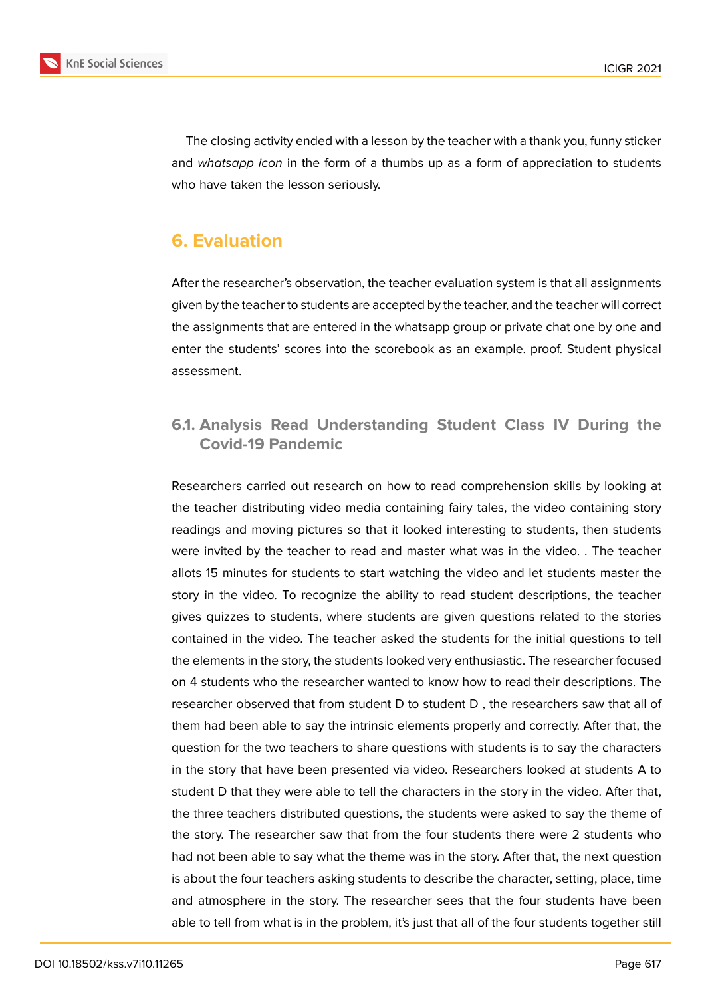

The closing activity ended with a lesson by the teacher with a thank you, funny sticker and *whatsapp icon* in the form of a thumbs up as a form of appreciation to students who have taken the lesson seriously.

# **6. Evaluation**

After the researcher's observation, the teacher evaluation system is that all assignments given by the teacher to students are accepted by the teacher, and the teacher will correct the assignments that are entered in the whatsapp group or private chat one by one and enter the students' scores into the scorebook as an example. proof. Student physical assessment.

### **6.1. Analysis Read Understanding Student Class IV During the Covid-19 Pandemic**

Researchers carried out research on how to read comprehension skills by looking at the teacher distributing video media containing fairy tales, the video containing story readings and moving pictures so that it looked interesting to students, then students were invited by the teacher to read and master what was in the video. . The teacher allots 15 minutes for students to start watching the video and let students master the story in the video. To recognize the ability to read student descriptions, the teacher gives quizzes to students, where students are given questions related to the stories contained in the video. The teacher asked the students for the initial questions to tell the elements in the story, the students looked very enthusiastic. The researcher focused on 4 students who the researcher wanted to know how to read their descriptions. The researcher observed that from student D to student D , the researchers saw that all of them had been able to say the intrinsic elements properly and correctly. After that, the question for the two teachers to share questions with students is to say the characters in the story that have been presented via video. Researchers looked at students A to student D that they were able to tell the characters in the story in the video. After that, the three teachers distributed questions, the students were asked to say the theme of the story. The researcher saw that from the four students there were 2 students who had not been able to say what the theme was in the story. After that, the next question is about the four teachers asking students to describe the character, setting, place, time and atmosphere in the story. The researcher sees that the four students have been able to tell from what is in the problem, it's just that all of the four students together still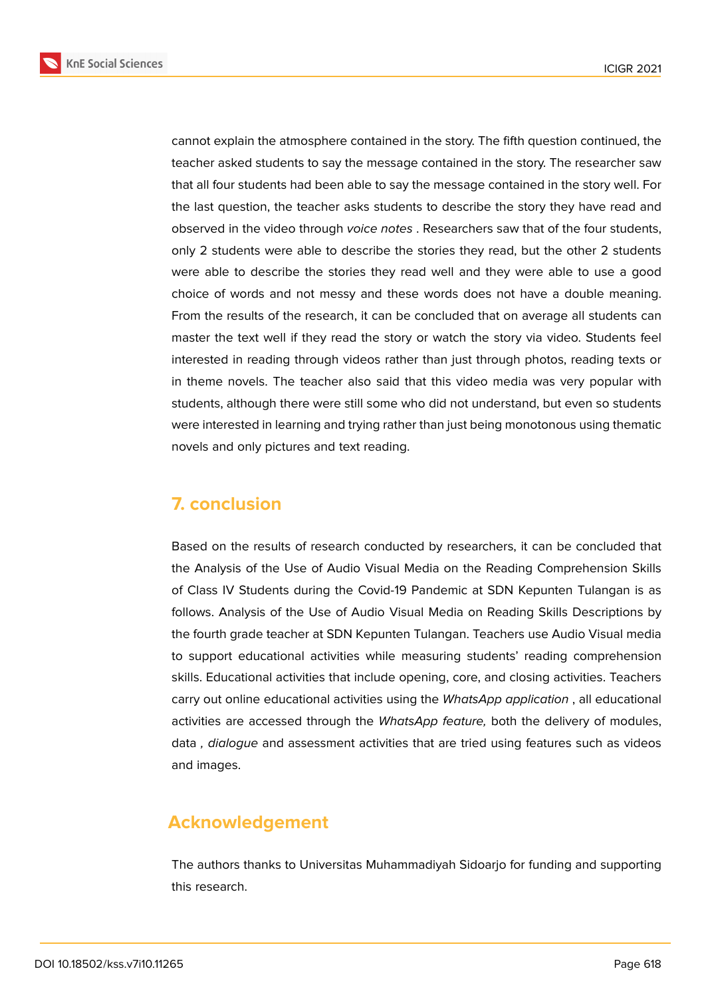**KnE Social Sciences** 



cannot explain the atmosphere contained in the story. The fifth question continued, the teacher asked students to say the message contained in the story. The researcher saw that all four students had been able to say the message contained in the story well. For the last question, the teacher asks students to describe the story they have read and observed in the video through *voice notes* . Researchers saw that of the four students, only 2 students were able to describe the stories they read, but the other 2 students were able to describe the stories they read well and they were able to use a good choice of words and not messy and these words does not have a double meaning. From the results of the research, it can be concluded that on average all students can master the text well if they read the story or watch the story via video. Students feel interested in reading through videos rather than just through photos, reading texts or in theme novels. The teacher also said that this video media was very popular with students, although there were still some who did not understand, but even so students were interested in learning and trying rather than just being monotonous using thematic novels and only pictures and text reading.

# **7. conclusion**

Based on the results of research conducted by researchers, it can be concluded that the Analysis of the Use of Audio Visual Media on the Reading Comprehension Skills of Class IV Students during the Covid-19 Pandemic at SDN Kepunten Tulangan is as follows. Analysis of the Use of Audio Visual Media on Reading Skills Descriptions by the fourth grade teacher at SDN Kepunten Tulangan. Teachers use Audio Visual media to support educational activities while measuring students' reading comprehension skills. Educational activities that include opening, core, and closing activities. Teachers carry out online educational activities using the *WhatsApp application* , all educational activities are accessed through the *WhatsApp feature,* both the delivery of modules, data *, dialogue* and assessment activities that are tried using features such as videos and images.

# **Acknowledgement**

The authors thanks to Universitas Muhammadiyah Sidoarjo for funding and supporting this research.